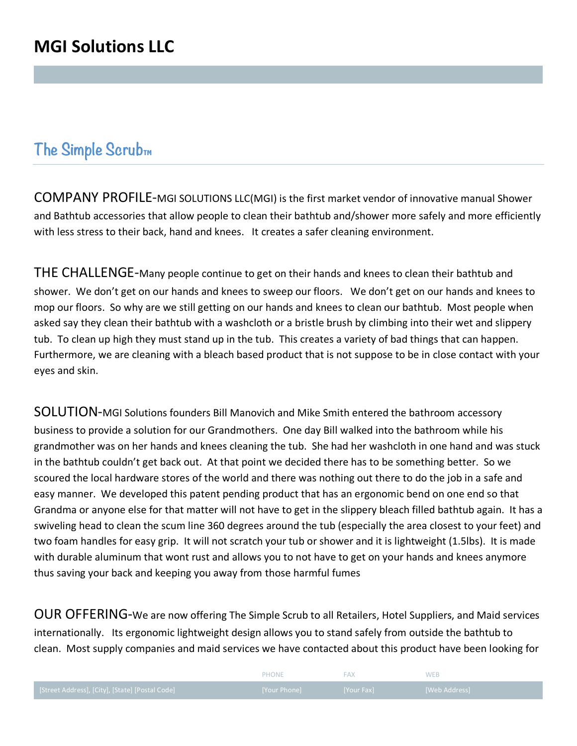## **The Simple Scrub**<sub>M</sub>

COMPANY PROFILE-MGI SOLUTIONS LLC(MGI) is the first market vendor of innovative manual Shower and Bathtub accessories that allow people to clean their bathtub and/shower more safely and more efficiently with less stress to their back, hand and knees. It creates a safer cleaning environment.

THE CHALLENGE-Many people continue to get on their hands and knees to clean their bathtub and shower. We don't get on our hands and knees to sweep our floors. We don't get on our hands and knees to mop our floors. So why are we still getting on our hands and knees to clean our bathtub. Most people when asked say they clean their bathtub with a washcloth or a bristle brush by climbing into their wet and slippery tub. To clean up high they must stand up in the tub. This creates a variety of bad things that can happen. Furthermore, we are cleaning with a bleach based product that is not suppose to be in close contact with your eyes and skin.

SOLUTION-MGI Solutions founders Bill Manovich and Mike Smith entered the bathroom accessory business to provide a solution for our Grandmothers. One day Bill walked into the bathroom while his grandmother was on her hands and knees cleaning the tub. She had her washcloth in one hand and was stuck in the bathtub couldn't get back out. At that point we decided there has to be something better. So we scoured the local hardware stores of the world and there was nothing out there to do the job in a safe and easy manner. We developed this patent pending product that has an ergonomic bend on one end so that Grandma or anyone else for that matter will not have to get in the slippery bleach filled bathtub again. It has a swiveling head to clean the scum line 360 degrees around the tub (especially the area closest to your feet) and two foam handles for easy grip. It will not scratch your tub or shower and it is lightweight (1.5lbs). It is made with durable aluminum that wont rust and allows you to not have to get on your hands and knees anymore thus saving your back and keeping you away from those harmful fumes

OUR OFFERING-We are now offering The Simple Scrub to all Retailers, Hotel Suppliers, and Maid services internationally. Its ergonomic lightweight design allows you to stand safely from outside the bathtub to clean. Most supply companies and maid services we have contacted about this product have been looking for

|                                                 | <b>PHONE</b> |            |                        |
|-------------------------------------------------|--------------|------------|------------------------|
| [Street Address], [City], [State] [Postal Code] | [Your Phone] | [Your Fax] | <b>I</b> [Web Address] |